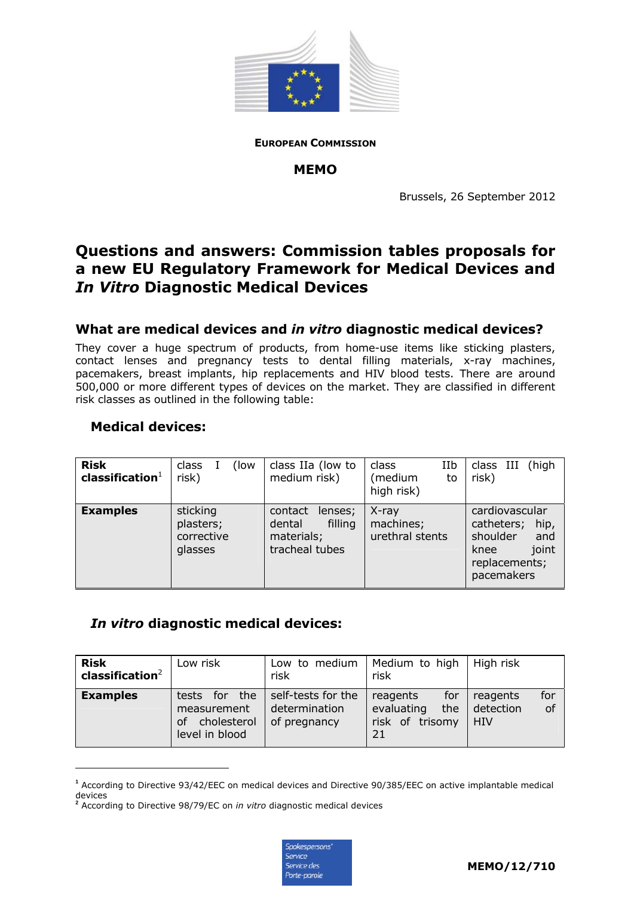

**EUROPEAN COMMISSION**

#### **MEMO**

Brussels, 26 September 2012

# **Questions and answers: Commission tables proposals for a new EU Regulatory Framework for Medical Devices and**  *In Vitro* **Diagnostic Medical Devices**

### **What are medical devices and** *in vitro* **diagnostic medical devices?**

They cover a huge spectrum of products, from home-use items like sticking plasters, contact lenses and pregnancy tests to dental filling materials, x-ray machines, pacemakers, breast implants, hip replacements and HIV blood tests. There are around 500,000 or more different types of devices on the market. They are classified in different risk classes as outlined in the following table:

### **Medical devices:**

-

| <b>Risk</b><br>$\mathsf{classification}^1$ | class<br>(low)<br>risk)                        | class IIa (low to<br>medium risk)                                       | IIb<br>class<br>(medium<br>to<br>high risk) | high)<br>class III<br>risk)                                                                             |
|--------------------------------------------|------------------------------------------------|-------------------------------------------------------------------------|---------------------------------------------|---------------------------------------------------------------------------------------------------------|
| <b>Examples</b>                            | sticking<br>plasters;<br>corrective<br>glasses | contact<br>lenses;<br>filling<br>dental<br>materials;<br>tracheal tubes | X-ray<br>machines;<br>urethral stents       | cardiovascular<br>catheters;<br>hip,<br>shoulder<br>and<br>joint<br>knee<br>replacements;<br>pacemakers |

### *In vitro* **diagnostic medical devices:**

| <b>Risk</b><br>classification $2$ | Low risk                                                               | Low to medium<br>risk                               | Medium to high<br>risk                                        | High risk                                 |
|-----------------------------------|------------------------------------------------------------------------|-----------------------------------------------------|---------------------------------------------------------------|-------------------------------------------|
| <b>Examples</b>                   | the<br>tests for<br>measurement<br>cholesterol<br>οf<br>level in blood | self-tests for the<br>determination<br>of pregnancy | for<br>reagents<br>the<br>evaluating<br>risk of trisomy<br>21 | for<br>reagents<br>of<br>detection<br>HIV |

**<sup>1</sup>** According to Directive 93/42/EEC on medical devices and Directive 90/385/EEC on active implantable medical devices<br><sup>2</sup> According to Directive 98/79/EC on *in vitro* diagnostic medical devices

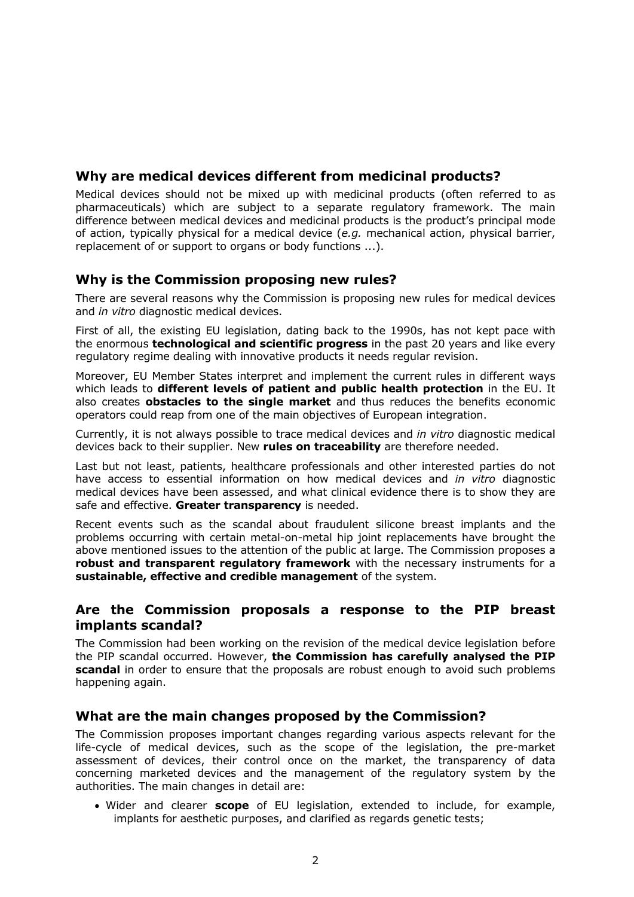## **Why are medical devices different from medicinal products?**

Medical devices should not be mixed up with medicinal products (often referred to as pharmaceuticals) which are subject to a separate regulatory framework. The main difference between medical devices and medicinal products is the product's principal mode of action, typically physical for a medical device (*e.g.* mechanical action, physical barrier, replacement of or support to organs or body functions ...).

### **Why is the Commission proposing new rules?**

There are several reasons why the Commission is proposing new rules for medical devices and *in vitro* diagnostic medical devices.

First of all, the existing EU legislation, dating back to the 1990s, has not kept pace with the enormous **technological and scientific progress** in the past 20 years and like every regulatory regime dealing with innovative products it needs regular revision.

Moreover, EU Member States interpret and implement the current rules in different ways which leads to **different levels of patient and public health protection** in the EU. It also creates **obstacles to the single market** and thus reduces the benefits economic operators could reap from one of the main objectives of European integration.

Currently, it is not always possible to trace medical devices and *in vitro* diagnostic medical devices back to their supplier. New **rules on traceability** are therefore needed.

Last but not least, patients, healthcare professionals and other interested parties do not have access to essential information on how medical devices and *in vitro* diagnostic medical devices have been assessed, and what clinical evidence there is to show they are safe and effective. **Greater transparency** is needed.

Recent events such as the scandal about fraudulent silicone breast implants and the problems occurring with certain metal-on-metal hip joint replacements have brought the above mentioned issues to the attention of the public at large. The Commission proposes a **robust and transparent regulatory framework** with the necessary instruments for a **sustainable, effective and credible management** of the system.

### **Are the Commission proposals a response to the PIP breast implants scandal?**

The Commission had been working on the revision of the medical device legislation before the PIP scandal occurred. However, **the Commission has carefully analysed the PIP scandal** in order to ensure that the proposals are robust enough to avoid such problems happening again.

### **What are the main changes proposed by the Commission?**

The Commission proposes important changes regarding various aspects relevant for the life-cycle of medical devices, such as the scope of the legislation, the pre-market assessment of devices, their control once on the market, the transparency of data concerning marketed devices and the management of the regulatory system by the authorities. The main changes in detail are:

• Wider and clearer **scope** of EU legislation, extended to include, for example, implants for aesthetic purposes, and clarified as regards genetic tests;